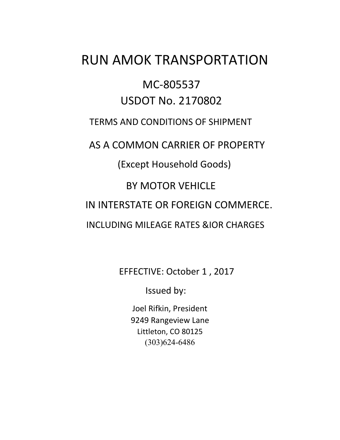# RUN AMOK TRANSPORTATION

## MC-805537 USDOT No. 2170802

## TERMS AND CONDITIONS OF SHIPMENT

AS A COMMON CARRIER OF PROPERTY

(Except Household Goods)

## BY MOTOR VEHICLE

IN INTERSTATE OR FOREIGN COMMERCE.

INCLUDING MILEAGE RATES &IOR CHARGES

EFFECTIVE: October 1 , 2017

Issued by:

Joel Rifkin, President 9249 Rangeview Lane Littleton, CO 80125 (303)624-6486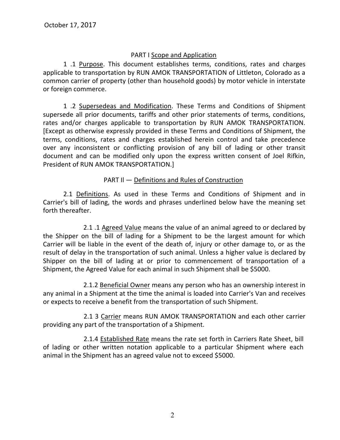#### PART I Scope and Application

1 .1 Purpose. This document establishes terms, conditions, rates and charges applicable to transportation by RUN AMOK TRANSPORTATION of Littleton, Colorado as a common carrier of property (other than household goods) by motor vehicle in interstate or foreign commerce.

1 .2 Supersedeas and Modification. These Terms and Conditions of Shipment supersede all prior documents, tariffs and other prior statements of terms, conditions, rates and/or charges applicable to transportation by RUN AMOK TRANSPORTATION. [Except as otherwise expressly provided in these Terms and Conditions of Shipment, the terms, conditions, rates and charges established herein control and take precedence over any inconsistent or conflicting provision of any bill of lading or other transit document and can be modified only upon the express written consent of Joel Rifkin, President of RUN AMOK TRANSPORTATION.]

PART Il — Definitions and Rules of Construction

2.1 Definitions. As used in these Terms and Conditions of Shipment and in Carrier's bill of lading, the words and phrases underlined below have the meaning set forth thereafter.

2.1 .1 Agreed Value means the value of an animal agreed to or declared by the Shipper on the bill of lading for a Shipment to be the largest amount for which Carrier will be liable in the event of the death of, injury or other damage to, or as the result of delay in the transportation of such animal. Unless a higher value is declared by Shipper on the bill of lading at or prior to commencement of transportation of a Shipment, the Agreed Value for each animal in such Shipment shall be \$5000.

2.1.2 Beneficial Owner means any person who has an ownership interest in any animal in a Shipment at the time the animal is loaded into Carrier's Van and receives or expects to receive a benefit from the transportation of such Shipment.

2.1 3 Carrier means RUN AMOK TRANSPORTATION and each other carrier providing any part of the transportation of a Shipment.

2.1.4 Established Rate means the rate set forth in Carriers Rate Sheet, bill of lading or other written notation applicable to a particular Shipment where each animal in the Shipment has an agreed value not to exceed \$5000.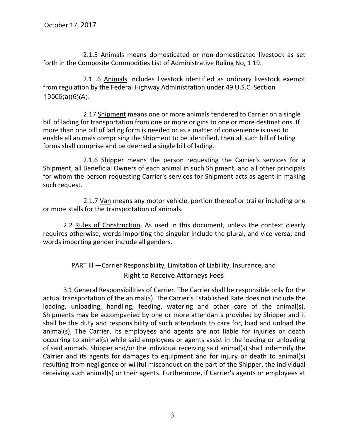2.1.5 Animals means domesticated or non-domesticated livestock as set forth in the Composite Commodities List of Administrative Ruling No, 1 19.

2.1 .6 Animals includes livestock identified as ordinary livestock exempt from regulation by the Federal Highway Administration under 49 U.S.C. Section  $13506(a)(6)(A)$ .

2.17 Shipment means one or more animals tendered to Carrier on a single bill of lading for transportation from one or more origins to one or more destinations. If more than one bill of lading form is needed or as a matter of convenience is used to enable all animals comprising the Shipment to be identified, then all such bill of lading forms shall comprise and be deemed a single bill of lading.

2.1.6 Shipper means the person requesting the Carrier's services for a Shipment, all Beneficial Owners of each animal in such Shipment, and all other principals for whom the person requesting Carrier's services for Shipment acts as agent in making such request.

2.1.7 Van means any motor vehicle, portion thereof or trailer including one or more stalls for the transportation of animals.

2.2 Rules of Construction. As used in this document, unless the context clearly requires otherwise, words importing the singular include the plural, and vice versa; and words importing gender include all genders.

#### PART Ill —Carrier Responsibility, Limitation of Liability, Insurance, and Right to Receive Attorneys Fees

3.1 General Responsibilities of Carrier. The Carrier shall be responsible only for the actual transportation of the animal(s). The Carrier's Established Rate does not include the loading, unloading, handling, feeding, watering and other care of the animal(s). Shipments may be accompanied by one or more attendants provided by Shipper and it shall be the duty and responsibility of such attendants to care for, load and unload the animal(s), The Carrier, its employees and agents are not liable for injuries or death occurring to animal(s) while said employees or agents assist in the loading or unloading of said animals. Shipper and/or the individual receiving said animal(s) shall indemnify the Carrier and its agents for damages to equipment and for injury or death to animal(s) resulting from negligence or willful misconduct on the part of the Shipper, the individual receiving such animal(s) or their agents. Furthermore, if Carrier's agents or employees at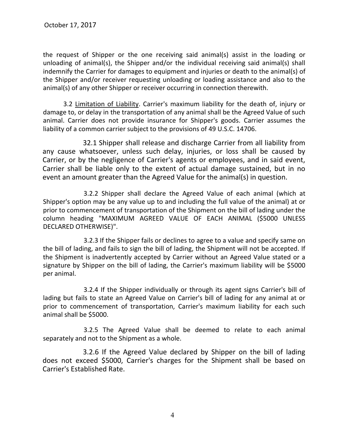the request of Shipper or the one receiving said animal(s) assist in the loading or unloading of animal(s), the Shipper and/or the individual receiving said animal(s) shall indemnify the Carrier for damages to equipment and injuries or death to the animal(s) of the Shipper and/or receiver requesting unloading or loading assistance and also to the animal(s) of any other Shipper or receiver occurring in connection therewith.

3.2 Limitation of Liability. Carrier's maximum liability for the death of, injury or damage to, or delay in the transportation of any animal shall be the Agreed Value of such animal. Carrier does not provide insurance for Shipper's goods. Carrier assumes the liability of a common carrier subject to the provisions of 49 U.S.C. 14706.

32.1 Shipper shall release and discharge Carrier from all liability from any cause whatsoever, unless such delay, injuries, or loss shall be caused by Carrier, or by the negligence of Carrier's agents or employees, and in said event, Carrier shall be liable only to the extent of actual damage sustained, but in no event an amount greater than the Agreed Value for the animal(s) in question.

3.2.2 Shipper shall declare the Agreed Value of each animal (which at Shipper's option may be any value up to and including the full value of the animal) at or prior to commencement of transportation of the Shipment on the bill of lading under the column heading "MAXIMUM AGREED VALUE OF EACH ANIMAL (\$5000 UNLESS DECLARED OTHERWISE)".

3.2.3 If the Shipper fails or declines to agree to a value and specify same on the bill of lading, and fails to sign the bill of lading, the Shipment will not be accepted. If the Shipment is inadvertently accepted by Carrier without an Agreed Value stated or a signature by Shipper on the bill of lading, the Carrier's maximum liability will be \$5000 per animal.

3.2.4 If the Shipper individually or through its agent signs Carrier's bill of lading but fails to state an Agreed Value on Carrier's bill of lading for any animal at or prior to commencement of transportation, Carrier's maximum liability for each such animal shall be \$5000.

3.2.5 The Agreed Value shall be deemed to relate to each animal separately and not to the Shipment as a whole.

3.2.6 If the Agreed Value declared by Shipper on the bill of lading does not exceed \$5000, Carrier's charges for the Shipment shall be based on Carrier's Established Rate.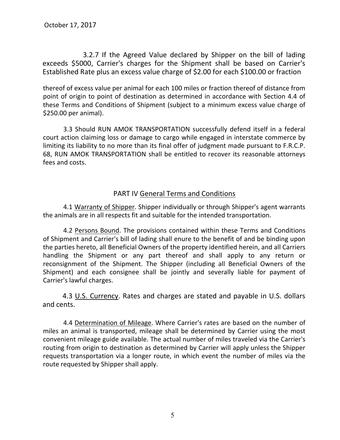3.2.7 If the Agreed Value declared by Shipper on the bill of lading exceeds \$5000, Carrier's charges for the Shipment shall be based on Carrier's Established Rate plus an excess value charge of \$2.00 for each \$100.00 or fraction

thereof of excess value per animal for each 100 miles or fraction thereof of distance from point of origin to point of destination as determined in accordance with Section 4.4 of these Terms and Conditions of Shipment (subject to a minimum excess value charge of \$250.00 per animal).

3.3 Should RUN AMOK TRANSPORTATION successfully defend itself in a federal court action claiming loss or damage to cargo while engaged in interstate commerce by limiting its liability to no more than its final offer of judgment made pursuant to F.R.C.P. 68, RUN AMOK TRANSPORTATION shall be entitled to recover its reasonable attorneys fees and costs.

#### PART IV General Terms and Conditions

4.1 Warranty of Shipper. Shipper individually or through Shipper's agent warrants the animals are in all respects fit and suitable for the intended transportation.

4.2 Persons Bound. The provisions contained within these Terms and Conditions of Shipment and Carrier's bill of lading shall enure to the benefit of and be binding upon the parties hereto, all Beneficial Owners of the property identified herein, and all Carriers handling the Shipment or any part thereof and shall apply to any return or reconsignment of the Shipment. The Shipper (including all Beneficial Owners of the Shipment) and each consignee shall be jointly and severally liable for payment of Carrier's lawful charges.

4.3 U.S. Currency. Rates and charges are stated and payable in U.S. dollars and cents.

4.4 Determination of Mileage. Where Carrier's rates are based on the number of miles an animal is transported, mileage shall be determined by Carrier using the most convenient mileage guide available. The actual number of miles traveled via the Carrier's routing from origin to destination as determined by Carrier will apply unless the Shipper requests transportation via a longer route, in which event the number of miles via the route requested by Shipper shall apply.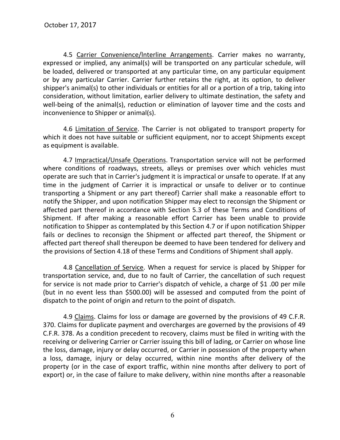4.5 Carrier Convenience/lnterline Arrangements. Carrier makes no warranty, expressed or implied, any animal(s) will be transported on any particular schedule, will be loaded, delivered or transported at any particular time, on any particular equipment or by any particular Carrier. Carrier further retains the right, at its option, to deliver shipper's animal(s) to other individuals or entities for all or a portion of a trip, taking into consideration, without limitation, earlier delivery to ultimate destination, the safety and well-being of the animal(s), reduction or elimination of layover time and the costs and inconvenience to Shipper or animal(s).

4.6 Limitation of Service. The Carrier is not obligated to transport property for which it does not have suitable or sufficient equipment, nor to accept Shipments except as equipment is available.

4.7 Impractical/Unsafe Operations. Transportation service will not be performed where conditions of roadways, streets, alleys or premises over which vehicles must operate are such that in Carrier's judgment it is impractical or unsafe to operate. If at any time in the judgment of Carrier it is impractical or unsafe to deliver or to continue transporting a Shipment or any part thereof} Carrier shall make a reasonable effort to notify the Shipper, and upon notification Shipper may elect to reconsign the Shipment or affected part thereof in accordance with Section 5.3 of these Terms and Conditions of Shipment. If after making a reasonable effort Carrier has been unable to provide notification to Shipper as contemplated by this Section 4.7 or if upon notification Shipper fails or declines to reconsign the Shipment or affected part thereof, the Shipment or affected part thereof shall thereupon be deemed to have been tendered for delivery and the provisions of Section 4.18 of these Terms and Conditions of Shipment shall apply.

4.8 Cancellation of Service. When a request for service is placed by Shipper for transportation service, and, due to no fault of Carrier, the cancellation of such request for service is not made prior to Carrier's dispatch of vehicle, a charge of \$1 .00 per mile (but in no event less than \$500.00) will be assessed and computed from the point of dispatch to the point of origin and return to the point of dispatch.

4.9 Claims. Claims for loss or damage are governed by the provisions of 49 C.F.R. 370. Claims for duplicate payment and overcharges are governed by the provisions of 49 C.F.R. 378. As a condition precedent to recovery, claims must be filed in writing with the receiving or delivering Carrier or Carrier issuing this bill of lading, or Carrier on whose line the loss, damage, injury or delay occurred, or Carrier in possession of the property when a loss, damage, injury or delay occurred, within nine months after delivery of the property (or in the case of export traffic, within nine months after delivery to port of export) or, in the case of failure to make delivery, within nine months after a reasonable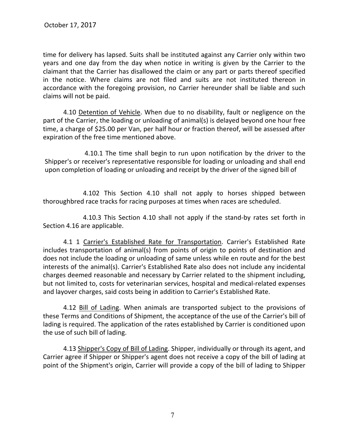time for delivery has lapsed. Suits shall be instituted against any Carrier only within two years and one day from the day when notice in writing is given by the Carrier to the claimant that the Carrier has disallowed the claim or any part or parts thereof specified in the notice. Where claims are not filed and suits are not instituted thereon in accordance with the foregoing provision, no Carrier hereunder shall be liable and such claims will not be paid.

4.10 Detention of Vehicle. When due to no disability, fault or negligence on the part of the Carrier, the loading or unloading of animal(s) is delayed beyond one hour free time, a charge of \$25.00 per Van, per half hour or fraction thereof, will be assessed after expiration of the free time mentioned above.

4.10.1 The time shall begin to run upon notification by the driver to the Shipper's or receiver's representative responsible for loading or unloading and shall end upon completion of loading or unloading and receipt by the driver of the signed bill of

4.102 This Section 4.10 shall not apply to horses shipped between thoroughbred race tracks for racing purposes at times when races are scheduled.

4.10.3 This Section 4.10 shall not apply if the stand-by rates set forth in Section 4.16 are applicable.

4.1 1 Carrier's Established Rate for Transportation. Carrier's Established Rate includes transportation of animal(s) from points of origin to points of destination and does not include the loading or unloading of same unless while en route and for the best interests of the animal(s). Carrier's Established Rate also does not include any incidental charges deemed reasonable and necessary by Carrier related to the shipment including, but not limited to, costs for veterinarian services, hospital and medical-related expenses and layover charges, said costs being in addition to Carrier's Established Rate.

4.12 Bill of Lading. When animals are transported subject to the provisions of these Terms and Conditions of Shipment, the acceptance of the use of the Carrier's bill of lading is required. The application of the rates established by Carrier is conditioned upon the use of such bill of lading.

4.13 Shipper's Copy of Bill of Lading. Shipper, individually or through its agent, and Carrier agree if Shipper or Shipper's agent does not receive a copy of the bill of lading at point of the Shipment's origin, Carrier will provide a copy of the bill of lading to Shipper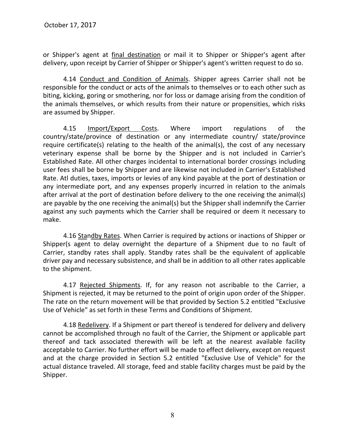or Shipper's agent at final destination or mail it to Shipper or Shipper's agent after delivery, upon receipt by Carrier of Shipper or Shipper's agent's written request to do so.

4.14 Conduct and Condition of Animals. Shipper agrees Carrier shall not be responsible for the conduct or acts of the animals to themselves or to each other such as biting, kicking, goring or smothering, nor for loss or damage arising from the condition of the animals themselves, or which results from their nature or propensities, which risks are assumed by Shipper.

4.15 Import/Export Costs. Where import regulations of the country/state/province of destination or any intermediate country/ state/province require certificate(s) relating to the health of the animal(s), the cost of any necessary veterinary expense shall be borne by the Shipper and is not included in Carrier's Established Rate. All other charges incidental to international border crossings including user fees shall be borne by Shipper and are likewise not included in Carrier's Established Rate. Atl duties, taxes, imports or levies of any kind payable at the port of destination or any intermediate port, and any expenses properly incurred in relation to the animals after arrival at the port of destination before delivery to the one receiving the animal(s) are payable by the one receiving the animal(s) but the Shipper shall indemnify the Carrier against any such payments which the Carrier shall be required or deem it necessary to make.

4.16 Standby Rates. When Carrier is required by actions or inactions of Shipper or Shipper(s agent to delay overnight the departure of a Shipment due to no fault of Carrier, standby rates shall apply. Standby rates shall be the equivalent of applicable driver pay and necessary subsistence, and shall be in addition to all other rates applicable to the shipment.

4.17 Rejected Shipments. If, for any reason not ascribable to the Carrier, a Shipment is rejected, it may be returned to the point of origin upon order of the Shipper. The rate on the return movement will be that provided by Section 5.2 entitled "Exclusive Use of Vehicle" as set forth in these Terms and Conditions of Shipment.

4.18 Redelivery. If a Shipment or part thereof is tendered for delivery and delivery cannot be accomplished through no fault of the Carrier, the Shipment or applicable part thereof and tack associated therewith will be left at the nearest available facility acceptable to Carrier. No further effort will be made to effect delivery, except on request and at the charge provided in Section 5.2 entitled "Exclusive Use of Vehicle" for the actual distance traveled. All storage, feed and stable facility charges must be paid by the Shipper.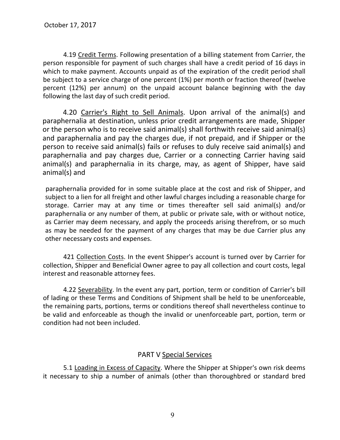4.19 Credit Terms. Following presentation of a billing statement from Carrier, the person responsible for payment of such charges shall have a credit period of 16 days in which to make payment. Accounts unpaid as of the expiration of the credit period shall be subject to a service charge of one percent (1%) per month or fraction thereof (twelve percent (12%) per annum) on the unpaid account balance beginning with the day following the last day of such credit period.

4.20 Carrier's Right to Sell Animals. Upon arrival of the animal(s) and paraphernalia at destination, unless prior credit arrangements are made, Shipper or the person who is to receive said animal(s) shall forthwith receive said animal(s) and paraphernalia and pay the charges due, if not prepaid, and if Shipper or the person to receive said animal(s) fails or refuses to duly receive said animal(s) and paraphernalia and pay charges due, Carrier or a connecting Carrier having said animal(s) and paraphernalia in its charge, may, as agent of Shipper, have said animal(s) and

paraphernalia provided for in some suitable place at the cost and risk of Shipper, and subject to a lien for all freight and other lawful charges including a reasonable charge for storage. Carrier may at any time or times thereafter sell said animal(s) and/or paraphernalia or any number of them, at public or private sale, with or without notice, as Carrier may deem necessary, and apply the proceeds arising therefrom, or so much as may be needed for the payment of any charges that may be due Carrier plus any other necessary costs and expenses.

421 Collection Costs. In the event Shipper's account is turned over by Carrier for collection, Shipper and Beneficial Owner agree to pay all collection and court costs, legal interest and reasonable attorney fees.

4.22 Severability. In the event any part, portion, term or condition of Carrier's bill of lading or these Terms and Conditions of Shipment shall be held to be unenforceable, the remaining parts, portions, terms or conditions thereof shall nevertheless continue to be valid and enforceable as though the invalid or unenforceable part, portion, term or condition had not been included.

#### PART V Special Services

5.1 Loading in Excess of Capacity. Where the Shipper at Shipper's own risk deems it necessary to ship a number of animals (other than thoroughbred or standard bred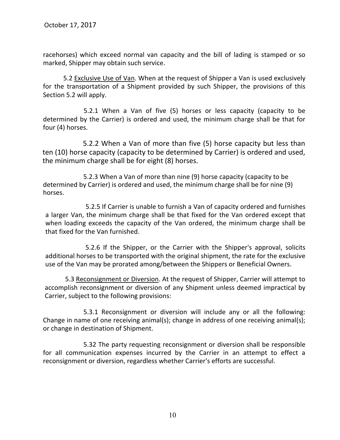racehorses) which exceed normal van capacity and the bill of lading is stamped or so marked, Shipper may obtain such service.

5.2 Exclusive Use of Van. When at the request of Shipper a Van is used exclusively for the transportation of a Shipment provided by such Shipper, the provisions of this Section 5.2 will apply.

5.2.1 When a Van of five (5) horses or less capacity (capacity to be determined by the Carrier) is ordered and used, the minimum charge shall be that for four (4) horses.

5.2.2 When a Van of more than five (5) horse capacity but less than ten (10) horse capacity (capacity to be determined by Carrier) is ordered and used, the minimum charge shall be for eight (8) horses.

5.2.3 When a Van of more than nine (9) horse capacity (capacity to be determined by Carrier) is ordered and used, the minimum charge shall be for nine (9) horses.

5.2.5 If Carrier is unable to furnish a Van of capacity ordered and furnishes a larger Van, the minimum charge shall be that fixed for the Van ordered except that when loading exceeds the capacity of the Van ordered, the minimum charge shall be that fixed for the Van furnished.

5.2.6 If the Shipper, or the Carrier with the Shipper's approval, solicits additional horses to be transported with the original shipment, the rate for the exclusive use of the Van may be prorated among/between the Shippers or Beneficial Owners.

5.3 Reconsignment or Diversion. At the request of Shipper, Carrier will attempt to accomplish reconsignment or diversion of any Shipment unless deemed impractical by Carrier, subject to the following provisions:

5.3.1 Reconsignment or diversion will include any or all the following: Change in name of one receiving animal(s); change in address of one receiving animal(s); or change in destination of Shipment.

5.32 The party requesting reconsignment or diversion shall be responsible for all communication expenses incurred by the Carrier in an attempt to effect a reconsignment or diversion, regardless whether Carrier's efforts are successful.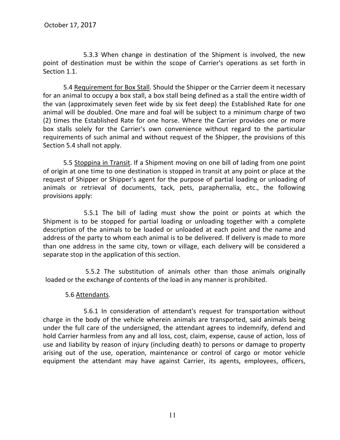5.3.3 When change in destination of the Shipment is involved, the new point of destination must be within the scope of Carrier's operations as set forth in Section 1.1.

5.4 Requirement for Box Stall. Should the Shipper or the Carrier deem it necessary for an animal to occupy a box stall, a box stall being defined as a stall the entire width of the van (approximately seven feet wide by six feet deep) the Established Rate for one animal will be doubled. One mare and foal will be subject to a minimum charge of two (2) times the Established Rate for one horse. Where the Carrier provides one or more box stalls solely for the Carrier's own convenience without regard to the particular requirements of such animal and without request of the Shipper, the provisions of this Section 5.4 shall not apply.

5.5 Stoppina in Transit. If a Shipment moving on one bill of lading from one point of origin at one time to one destination is stopped in transit at any point or place at the request of Shipper or Shipper's agent for the purpose of partial loading or unloading of animals or retrieval of documents, tack, pets, paraphernalia, etc., the following provisions apply:

5.5.1 The bill of lading must show the point or points at which the Shipment is to be stopped for partial loading or unloading together with a complete description of the animals to be loaded or unloaded at each point and the name and address of the party to whom each animal is to be delivered. If delivery is made to more than one address in the same city, town or village, each delivery will be considered a separate stop in the application of this section.

5.5.2 The substitution of animals other than those animals originally loaded or the exchange of contents of the load in any manner is prohibited.

#### 5.6 Attendants.

5.6.1 In consideration of attendant's request for transportation without charge in the body of the vehicle wherein animals are transported, said animals being under the full care of the undersigned, the attendant agrees to indemnify, defend and hold Carrier harmless from any and all loss, cost, claim, expense, cause of action, loss of use and liability by reason of injury (including death) to persons or damage to property arising out of the use, operation, maintenance or control of cargo or motor vehicle equipment the attendant may have against Carrier, its agents, employees, officers,